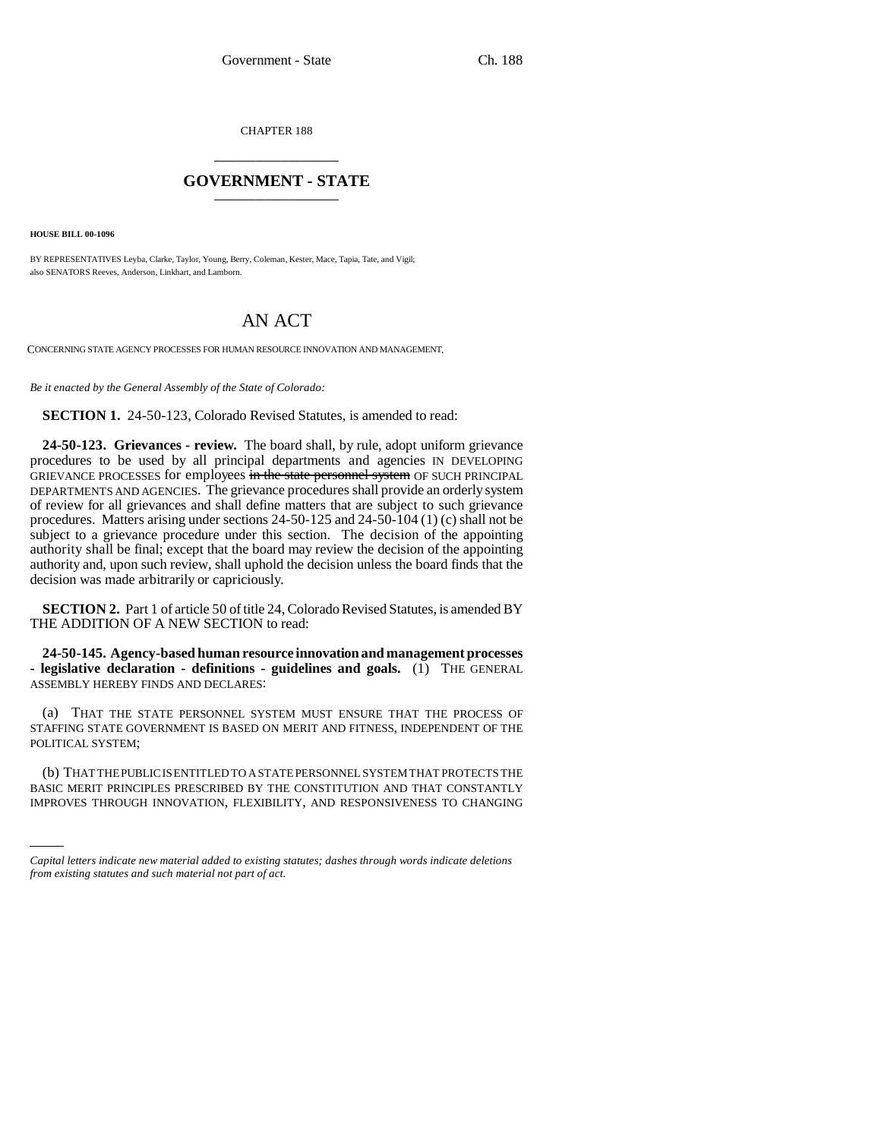CHAPTER 188 \_\_\_\_\_\_\_\_\_\_\_\_\_\_\_

## **GOVERNMENT - STATE** \_\_\_\_\_\_\_\_\_\_\_\_\_\_\_

**HOUSE BILL 00-1096** 

BY REPRESENTATIVES Leyba, Clarke, Taylor, Young, Berry, Coleman, Kester, Mace, Tapia, Tate, and Vigil; also SENATORS Reeves, Anderson, Linkhart, and Lamborn.

## AN ACT

CONCERNING STATE AGENCY PROCESSES FOR HUMAN RESOURCE INNOVATION AND MANAGEMENT.

*Be it enacted by the General Assembly of the State of Colorado:*

**SECTION 1.** 24-50-123, Colorado Revised Statutes, is amended to read:

**24-50-123. Grievances - review.** The board shall, by rule, adopt uniform grievance procedures to be used by all principal departments and agencies IN DEVELOPING GRIEVANCE PROCESSES for employees in the state personnel system OF SUCH PRINCIPAL DEPARTMENTS AND AGENCIES. The grievance procedures shall provide an orderly system of review for all grievances and shall define matters that are subject to such grievance procedures. Matters arising under sections 24-50-125 and 24-50-104 (1) (c) shall not be subject to a grievance procedure under this section. The decision of the appointing authority shall be final; except that the board may review the decision of the appointing authority and, upon such review, shall uphold the decision unless the board finds that the decision was made arbitrarily or capriciously.

**SECTION 2.** Part 1 of article 50 of title 24, Colorado Revised Statutes, is amended BY THE ADDITION OF A NEW SECTION to read:

**24-50-145. Agency-based human resource innovation and management processes - legislative declaration - definitions - guidelines and goals.** (1) THE GENERAL ASSEMBLY HEREBY FINDS AND DECLARES:

(a) THAT THE STATE PERSONNEL SYSTEM MUST ENSURE THAT THE PROCESS OF STAFFING STATE GOVERNMENT IS BASED ON MERIT AND FITNESS, INDEPENDENT OF THE POLITICAL SYSTEM;

(U) THAT THE PUBLIC IS ENTITLED TO A STATE PERSONNEL STSTEM THAT PROTECTS THE BASIC MERIT PRINCIPLES PRESCRIBED BY THE CONSTITUTION AND THAT CONSTANTLY (b) THAT THE PUBLIC IS ENTITLED TO A STATE PERSONNEL SYSTEM THAT PROTECTS THE IMPROVES THROUGH INNOVATION, FLEXIBILITY, AND RESPONSIVENESS TO CHANGING

*Capital letters indicate new material added to existing statutes; dashes through words indicate deletions from existing statutes and such material not part of act.*